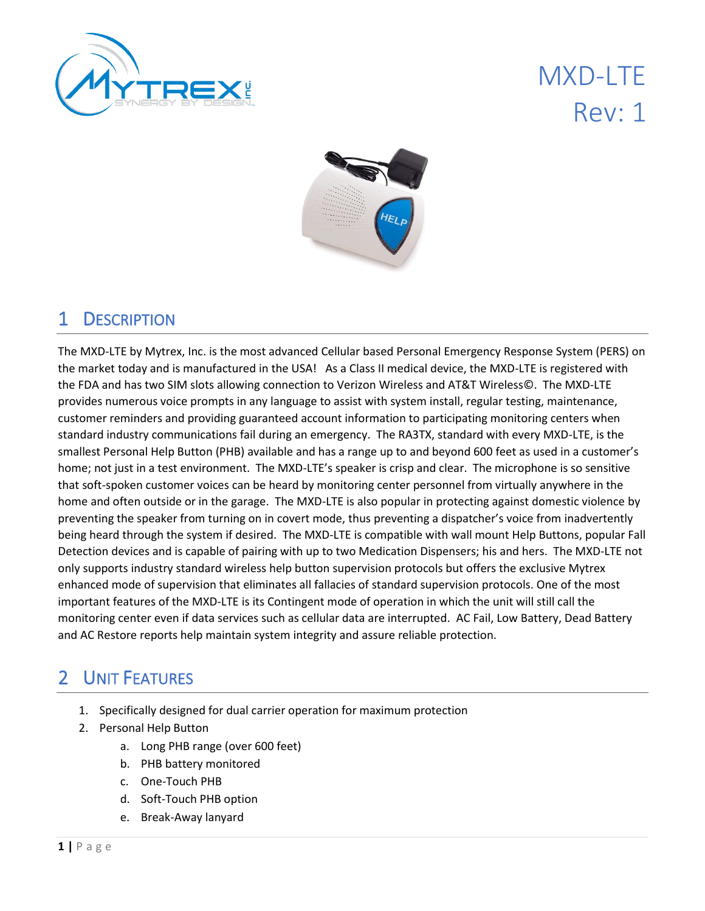

# MXD-LTE Rev: 1



## 1 DESCRIPTION

The MXD-LTE by Mytrex, Inc. is the most advanced Cellular based Personal Emergency Response System (PERS) on the market today and is manufactured in the USA! As a Class II medical device, the MXD-LTE is registered with the FDA and has two SIM slots allowing connection to Verizon Wireless and AT&T Wireless©. The MXD-LTE provides numerous voice prompts in any language to assist with system install, regular testing, maintenance, customer reminders and providing guaranteed account information to participating monitoring centers when standard industry communications fail during an emergency. The RA3TX, standard with every MXD-LTE, is the smallest Personal Help Button (PHB) available and has a range up to and beyond 600 feet as used in a customer's home; not just in a test environment. The MXD-LTE's speaker is crisp and clear. The microphone is so sensitive that soft-spoken customer voices can be heard by monitoring center personnel from virtually anywhere in the home and often outside or in the garage. The MXD-LTE is also popular in protecting against domestic violence by preventing the speaker from turning on in covert mode, thus preventing a dispatcher's voice from inadvertently being heard through the system if desired. The MXD-LTE is compatible with wall mount Help Buttons, popular Fall Detection devices and is capable of pairing with up to two Medication Dispensers; his and hers. The MXD-LTE not only supports industry standard wireless help button supervision protocols but offers the exclusive Mytrex enhanced mode of supervision that eliminates all fallacies of standard supervision protocols. One of the most important features of the MXD-LTE is its Contingent mode of operation in which the unit will still call the monitoring center even if data services such as cellular data are interrupted. AC Fail, Low Battery, Dead Battery and AC Restore reports help maintain system integrity and assure reliable protection.

## 2 UNIT FEATURES

- 1. Specifically designed for dual carrier operation for maximum protection
- 2. Personal Help Button
	- a. Long PHB range (over 600 feet)
	- b. PHB battery monitored
	- c. One-Touch PHB
	- d. Soft-Touch PHB option
	- e. Break-Away lanyard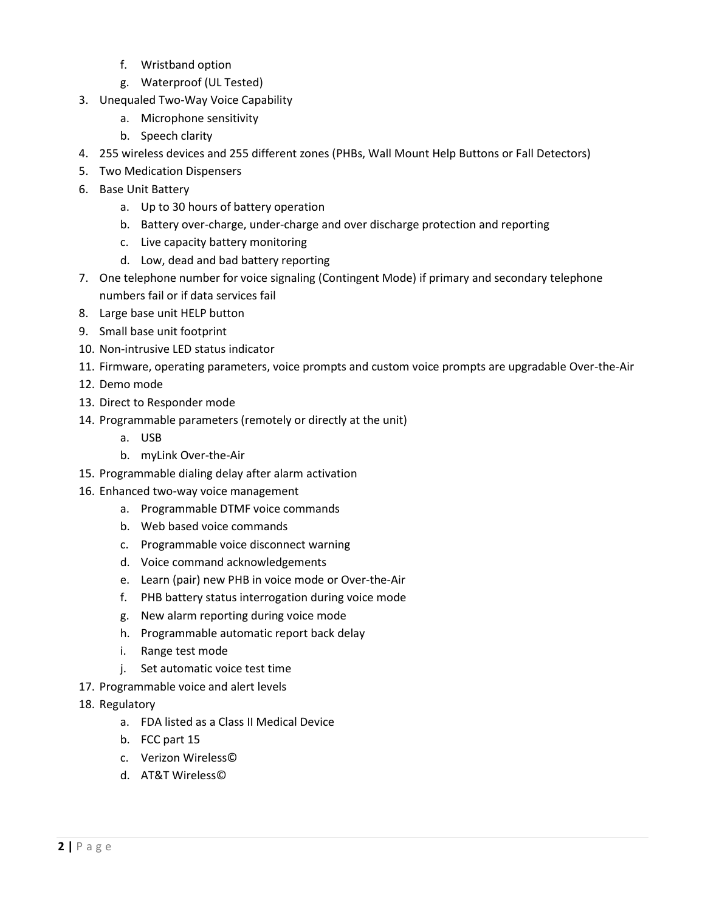- f. Wristband option
- g. Waterproof (UL Tested)
- 3. Unequaled Two-Way Voice Capability
	- a. Microphone sensitivity
	- b. Speech clarity
- 4. 255 wireless devices and 255 different zones (PHBs, Wall Mount Help Buttons or Fall Detectors)
- 5. Two Medication Dispensers
- 6. Base Unit Battery
	- a. Up to 30 hours of battery operation
	- b. Battery over-charge, under-charge and over discharge protection and reporting
	- c. Live capacity battery monitoring
	- d. Low, dead and bad battery reporting
- 7. One telephone number for voice signaling (Contingent Mode) if primary and secondary telephone numbers fail or if data services fail
- 8. Large base unit HELP button
- 9. Small base unit footprint
- 10. Non-intrusive LED status indicator
- 11. Firmware, operating parameters, voice prompts and custom voice prompts are upgradable Over-the-Air
- 12. Demo mode
- 13. Direct to Responder mode
- 14. Programmable parameters (remotely or directly at the unit)
	- a. USB
	- b. myLink Over-the-Air
- 15. Programmable dialing delay after alarm activation
- 16. Enhanced two-way voice management
	- a. Programmable DTMF voice commands
	- b. Web based voice commands
	- c. Programmable voice disconnect warning
	- d. Voice command acknowledgements
	- e. Learn (pair) new PHB in voice mode or Over-the-Air
	- f. PHB battery status interrogation during voice mode
	- g. New alarm reporting during voice mode
	- h. Programmable automatic report back delay
	- i. Range test mode
	- j. Set automatic voice test time
- 17. Programmable voice and alert levels
- 18. Regulatory
	- a. FDA listed as a Class II Medical Device
	- b. FCC part 15
	- c. Verizon Wireless©
	- d. AT&T Wireless©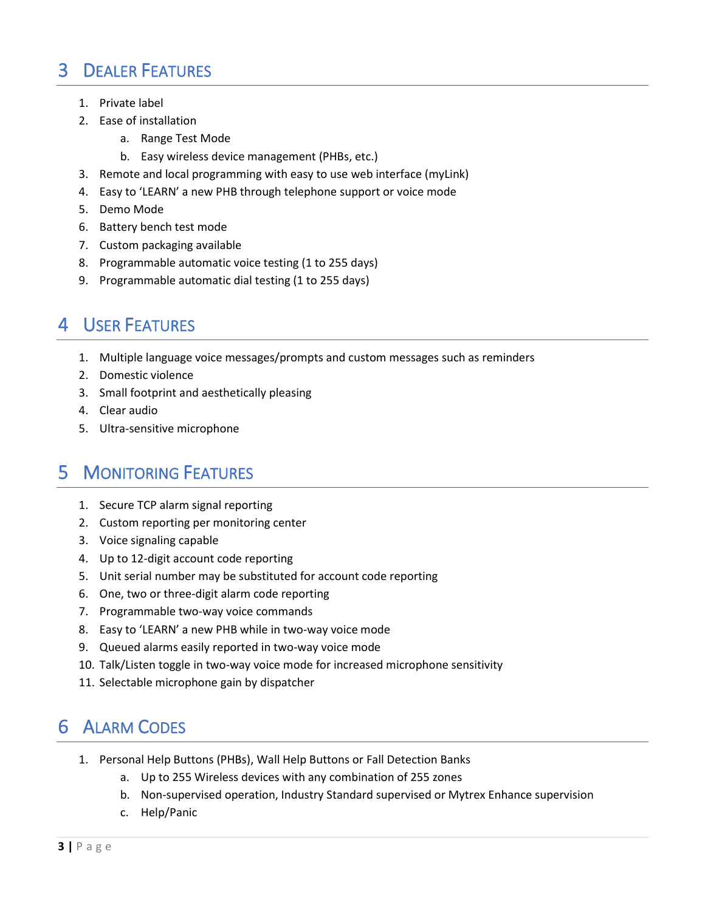## 3 DEALER FEATURES

- 1. Private label
- 2. Ease of installation
	- a. Range Test Mode
	- b. Easy wireless device management (PHBs, etc.)
- 3. Remote and local programming with easy to use web interface (myLink)
- 4. Easy to 'LEARN' a new PHB through telephone support or voice mode
- 5. Demo Mode
- 6. Battery bench test mode
- 7. Custom packaging available
- 8. Programmable automatic voice testing (1 to 255 days)
- 9. Programmable automatic dial testing (1 to 255 days)

#### 4 USER FEATURES

- 1. Multiple language voice messages/prompts and custom messages such as reminders
- 2. Domestic violence
- 3. Small footprint and aesthetically pleasing
- 4. Clear audio
- 5. Ultra-sensitive microphone

#### 5 MONITORING FEATURES

- 1. Secure TCP alarm signal reporting
- 2. Custom reporting per monitoring center
- 3. Voice signaling capable
- 4. Up to 12-digit account code reporting
- 5. Unit serial number may be substituted for account code reporting
- 6. One, two or three-digit alarm code reporting
- 7. Programmable two-way voice commands
- 8. Easy to 'LEARN' a new PHB while in two-way voice mode
- 9. Queued alarms easily reported in two-way voice mode
- 10. Talk/Listen toggle in two-way voice mode for increased microphone sensitivity
- 11. Selectable microphone gain by dispatcher

## 6 ALARM CODES

- 1. Personal Help Buttons (PHBs), Wall Help Buttons or Fall Detection Banks
	- a. Up to 255 Wireless devices with any combination of 255 zones
	- b. Non-supervised operation, Industry Standard supervised or Mytrex Enhance supervision
	- c. Help/Panic